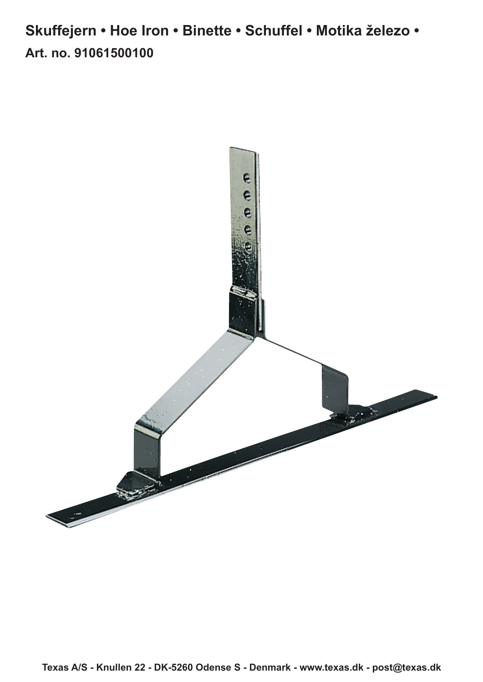**Art. no. 91061500100 Skuffejern • Hoe Iron • Binette • Schuffel • Motika železo •**

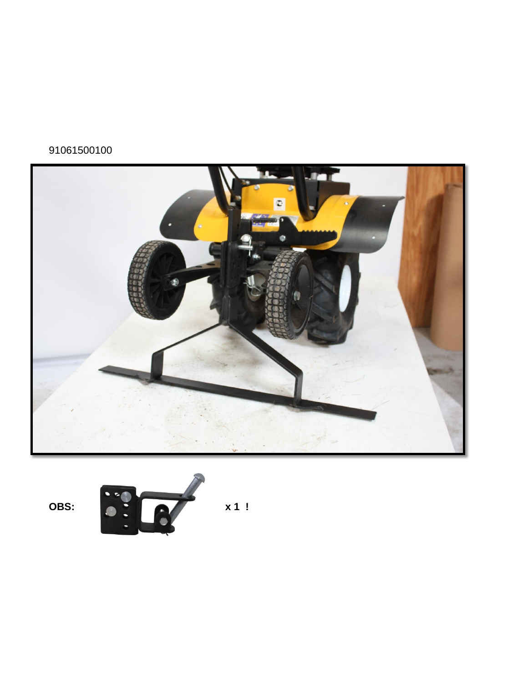## 91061500100



OBS:



 $x 1!$